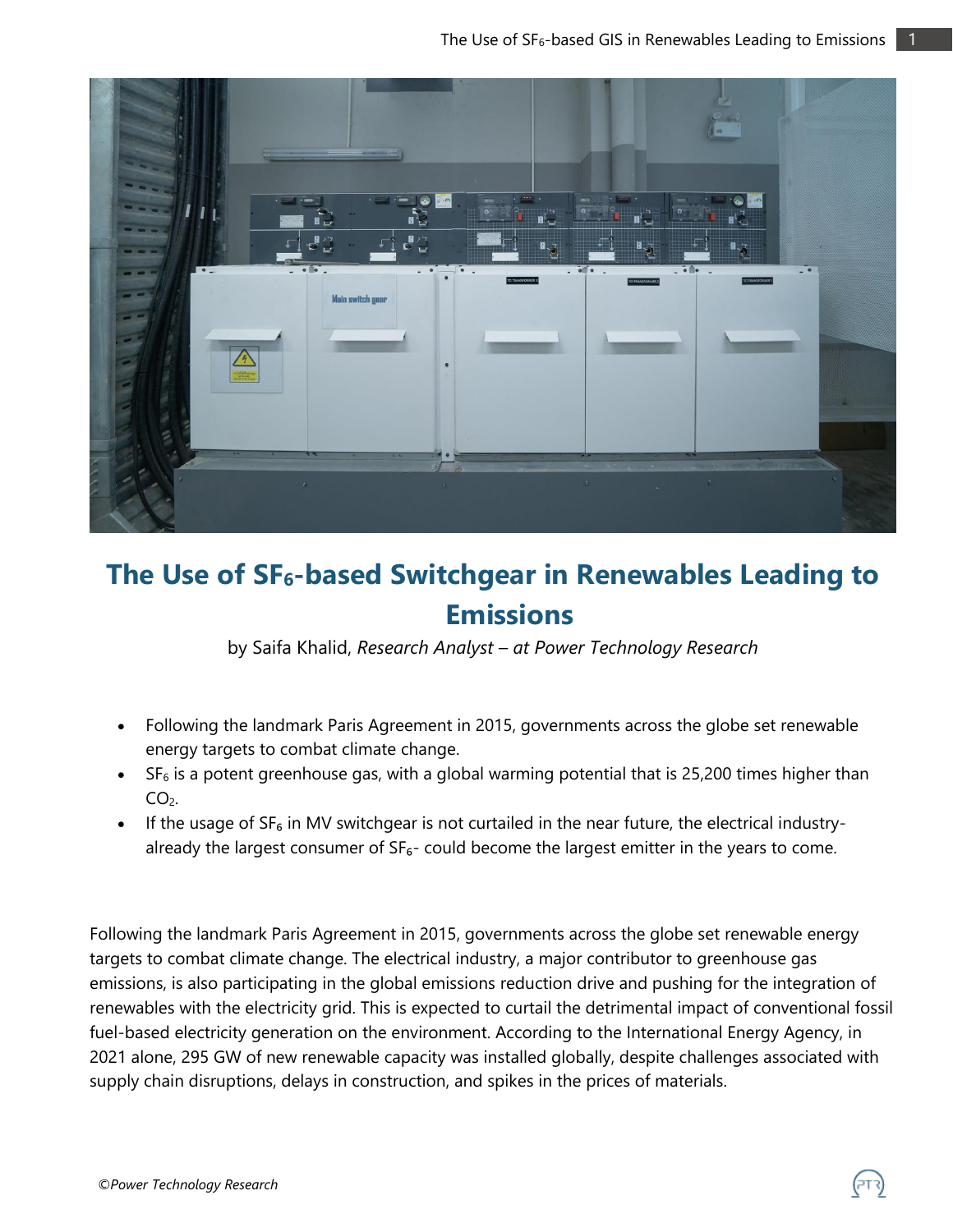

## **The Use of SF6-based Switchgear in Renewables Leading to Emissions**

by Saifa Khalid, *Research Analyst – at Power Technology Research*

- Following the landmark Paris Agreement in 2015, governments across the globe set renewable energy targets to combat climate change.
- $\bullet$  SF<sub>6</sub> is a potent greenhouse gas, with a global warming potential that is 25,200 times higher than  $CO<sub>2</sub>$ .
- If the usage of  $SF_6$  in MV switchgear is not curtailed in the near future, the electrical industryalready the largest consumer of  $SF<sub>6</sub>-$  could become the largest emitter in the years to come.

Following the landmark Paris Agreement in 2015, governments across the globe set renewable energy targets to combat climate change. The electrical industry, a major contributor to greenhouse gas emissions, is also participating in the global emissions reduction drive and pushing for the integration of renewables with the electricity grid. This is expected to curtail the detrimental impact of conventional fossil fuel-based electricity generation on the environment. According to the International Energy Agency, in 2021 alone, 295 GW of new renewable capacity was installed globally, despite challenges associated with supply chain disruptions, delays in construction, and spikes in the prices of materials.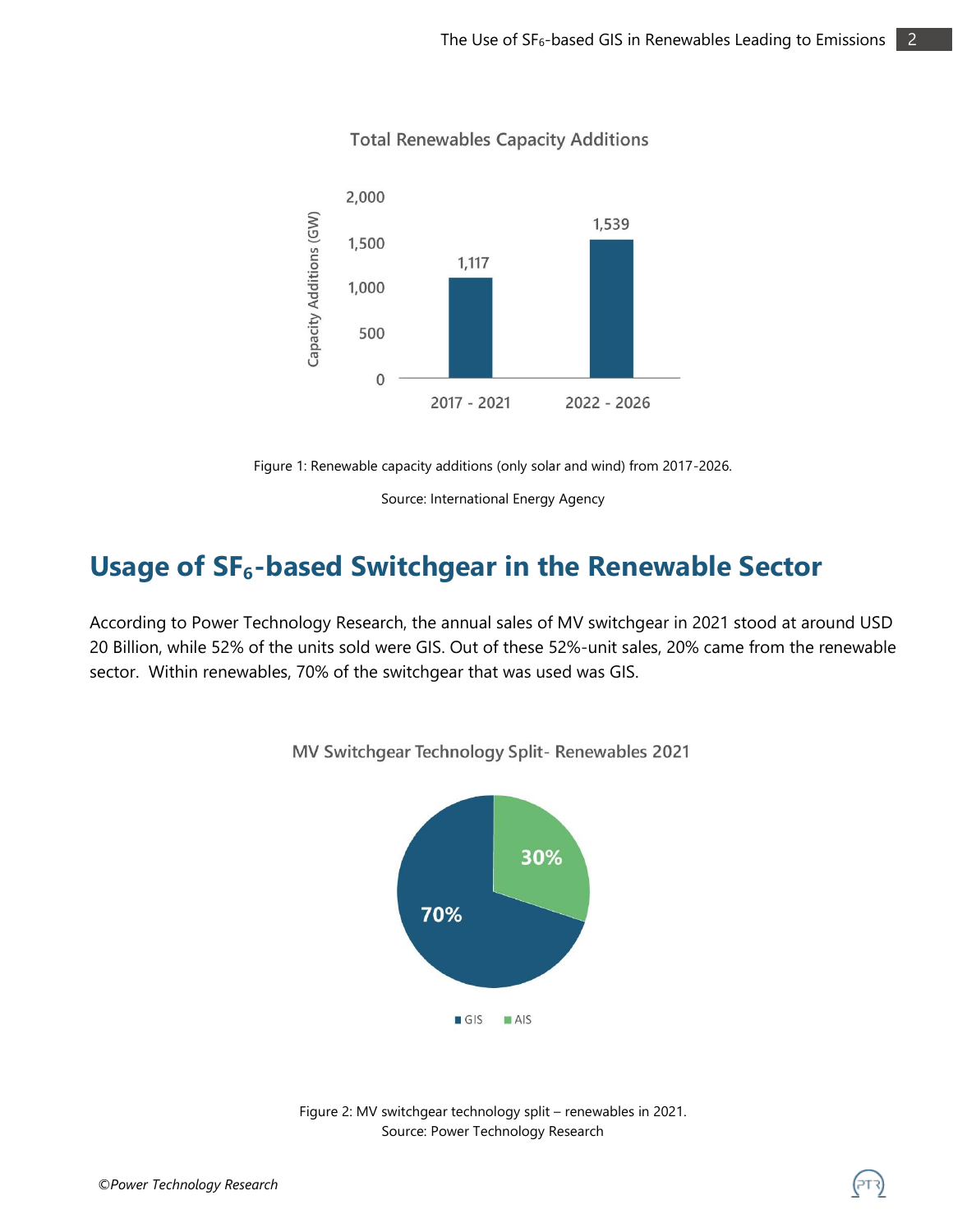

#### **Total Renewables Capacity Additions**

Figure 1: Renewable capacity additions (only solar and wind) from 2017-2026.

Source: International Energy Agency

### **Usage of SF₆-based Switchgear in the Renewable Sector**

According to Power Technology Research, the annual sales of MV switchgear in 2021 stood at around USD 20 Billion, while 52% of the units sold were GIS. Out of these 52%-unit sales, 20% came from the renewable sector. Within renewables, 70% of the switchgear that was used was GIS.



MV Switchgear Technology Split- Renewables 2021

Figure 2: MV switchgear technology split – renewables in 2021. Source: Power Technology Research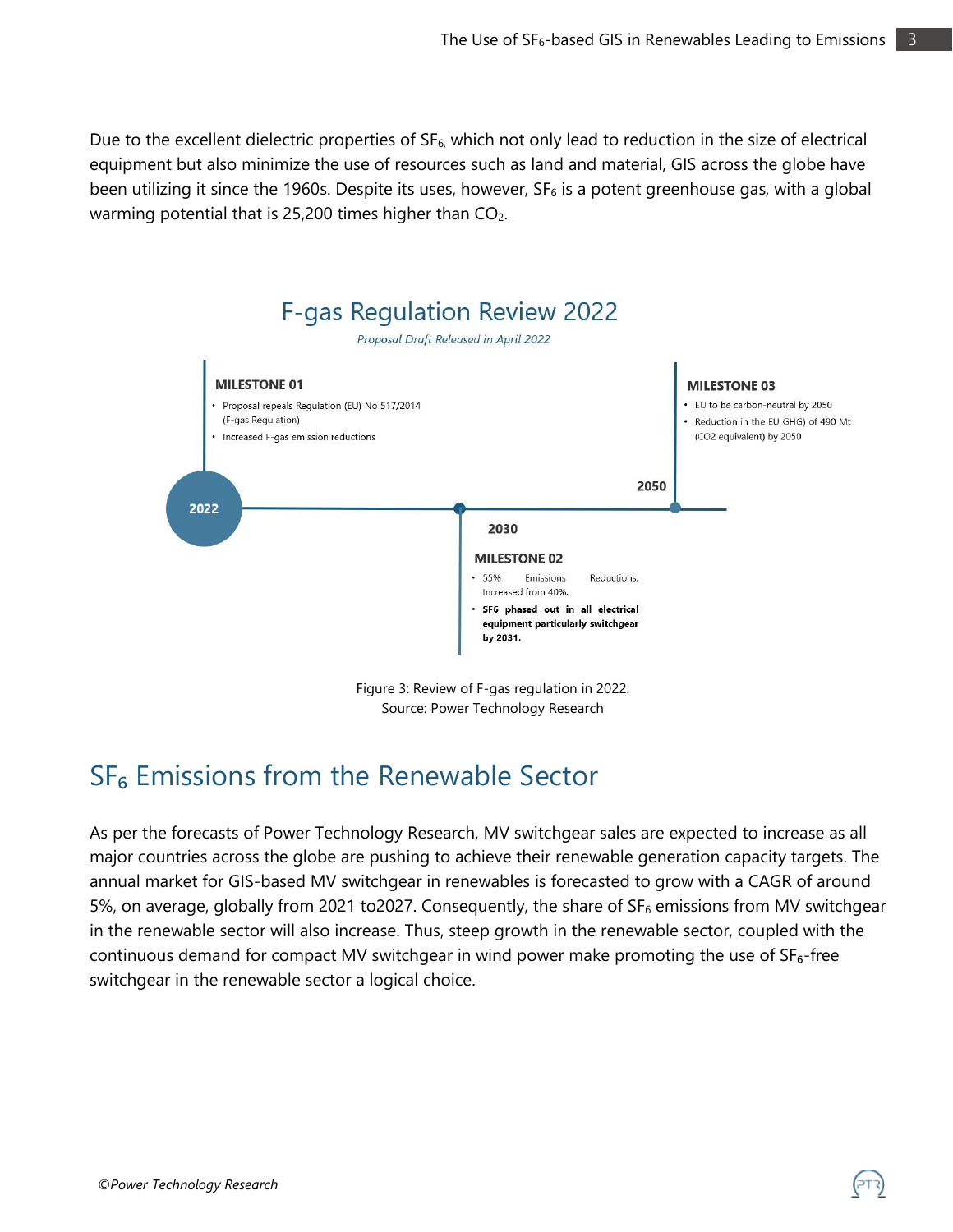Due to the excellent dielectric properties of  $SF_6$ , which not only lead to reduction in the size of electrical equipment but also minimize the use of resources such as land and material, GIS across the globe have been utilizing it since the 1960s. Despite its uses, however,  $SF<sub>6</sub>$  is a potent greenhouse gas, with a global warming potential that is 25,200 times higher than  $CO<sub>2</sub>$ .



Source: Power Technology Research

### SF<sub>6</sub> Emissions from the Renewable Sector

As per the forecasts of Power Technology Research, MV switchgear sales are expected to increase as all major countries across the globe are pushing to achieve their renewable generation capacity targets. The annual market for GIS-based MV switchgear in renewables is forecasted to grow with a CAGR of around 5%, on average, globally from 2021 to2027. Consequently, the share of  $SF<sub>6</sub>$  emissions from MV switchgear in the renewable sector will also increase. Thus, steep growth in the renewable sector, coupled with the continuous demand for compact MV switchgear in wind power make promoting the use of  $SF<sub>6</sub>$ -free switchgear in the renewable sector a logical choice.